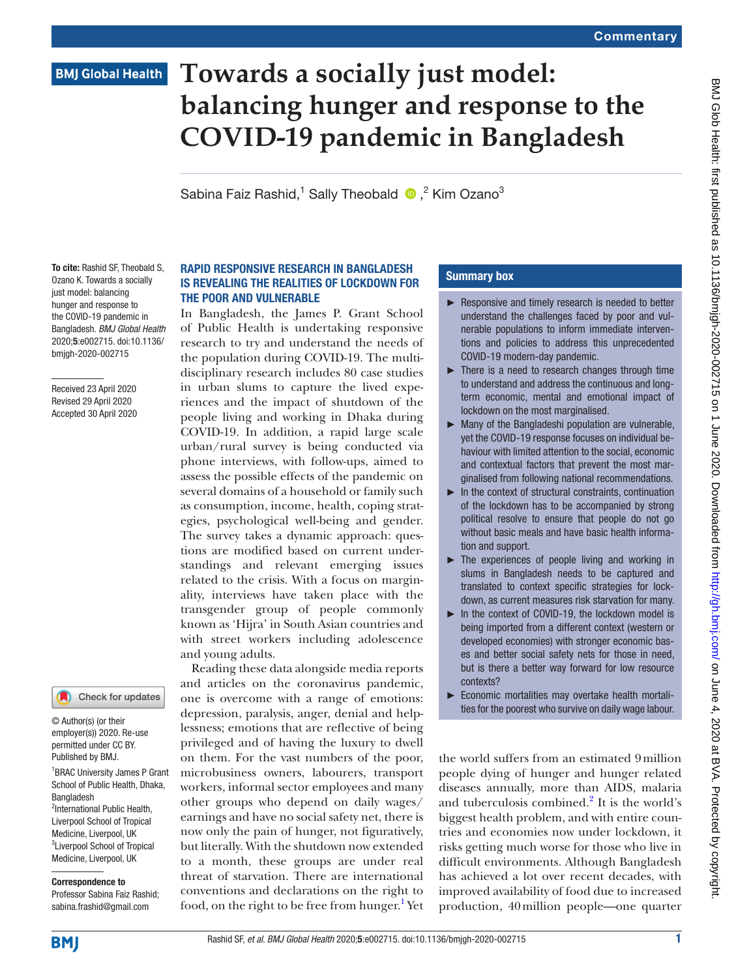# **BMJ Global Health**

# **Towards a socially just model: balancing hunger and response to the COVID-19 pandemic in Bangladesh**

SabinaFaiz Rashid,<sup>1</sup> Sally Theobald  $\bullet$ ,<sup>2</sup> Kim Ozano<sup>3</sup>

To cite: Rashid SF, Theobald S, Ozano K. Towards a socially just model: balancing hunger and response to the COVID-19 pandemic in Bangladesh. *BMJ Global Health* 2020;5:e002715. doi:10.1136/ bmjgh-2020-002715

Received 23 April 2020 Revised 29 April 2020 Accepted 30 April 2020

## Check for updates

© Author(s) (or their employer(s)) 2020. Re-use permitted under CC BY. Published by BMJ.

1 BRAC University James P Grant School of Public Health, Dhaka, Bangladesh <sup>2</sup>International Public Health, Liverpool School of Tropical Medicine, Liverpool, UK

3 Liverpool School of Tropical Medicine, Liverpool, UK

Correspondence to Professor Sabina Faiz Rashid; sabina.frashid@gmail.com

#### Rapid responsive research in Bangladesh is revealing the realities of lockdown for the poor and vulnerable

In Bangladesh, the James P. Grant School of Public Health is undertaking responsive research to try and understand the needs of the population during COVID-19. The multidisciplinary research includes 80 case studies in urban slums to capture the lived experiences and the impact of shutdown of the people living and working in Dhaka during COVID-19. In addition, a rapid large scale urban/rural survey is being conducted via phone interviews, with follow-ups, aimed to assess the possible effects of the pandemic on several domains of a household or family such as consumption, income, health, coping strategies, psychological well-being and gender. The survey takes a dynamic approach: questions are modified based on current understandings and relevant emerging issues related to the crisis. With a focus on marginality, interviews have taken place with the transgender group of people commonly known as 'Hijra' in South Asian countries and with street workers including adolescence and young adults.

Reading these data alongside media reports and articles on the coronavirus pandemic, one is overcome with a range of emotions: depression, paralysis, anger, denial and helplessness; emotions that are reflective of being privileged and of having the luxury to dwell on them. For the vast numbers of the poor, microbusiness owners, labourers, transport workers, informal sector employees and many other groups who depend on daily wages/ earnings and have no social safety net, there is now only the pain of hunger, not figuratively, but literally. With the shutdown now extended to a month, these groups are under real threat of starvation. There are international conventions and declarations on the right to food, on the right to be free from hunger.<sup>1</sup> Yet

## Summary box

- ► Responsive and timely research is needed to better understand the challenges faced by poor and vulnerable populations to inform immediate interventions and policies to address this unprecedented COVID-19 modern-day pandemic.
- ► There is a need to research changes through time to understand and address the continuous and longterm economic, mental and emotional impact of lockdown on the most marginalised.
- ► Many of the Bangladeshi population are vulnerable, yet the COVID-19 response focuses on individual behaviour with limited attention to the social, economic and contextual factors that prevent the most marginalised from following national recommendations.
- ► In the context of structural constraints, continuation of the lockdown has to be accompanied by strong political resolve to ensure that people do not go without basic meals and have basic health information and support.
- $\blacktriangleright$  The experiences of people living and working in slums in Bangladesh needs to be captured and translated to context specific strategies for lockdown, as current measures risk starvation for many.
- ► In the context of COVID-19, the lockdown model is being imported from a different context (western or developed economies) with stronger economic bases and better social safety nets for those in need, but is there a better way forward for low resource contexts?
- ► Economic mortalities may overtake health mortalities for the poorest who survive on daily wage labour.

the world suffers from an estimated 9million people dying of hunger and hunger related diseases annually, more than AIDS, malaria and tuberculosis combined.<sup>2</sup> It is the world's biggest health problem, and with entire countries and economies now under lockdown, it risks getting much worse for those who live in difficult environments. Although Bangladesh has achieved a lot over recent decades, with improved availability of food due to increased production, 40million people—one quarter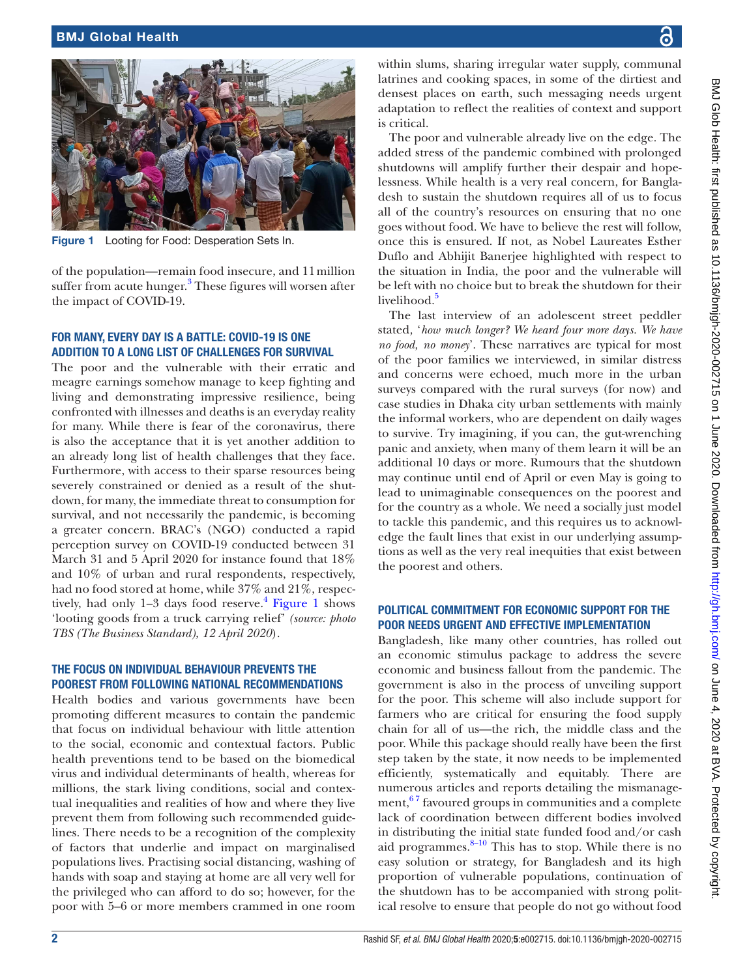<span id="page-1-0"></span>the impact of COVID-19.



of the population—remain food insecure, and 11million suffer from acute hunger.<sup>[3](#page-2-2)</sup> These figures will worsen after

### For many, every day is a battle: COVID-19 is one addition to a long list of challenges for survival

The poor and the vulnerable with their erratic and meagre earnings somehow manage to keep fighting and living and demonstrating impressive resilience, being confronted with illnesses and deaths is an everyday reality for many. While there is fear of the coronavirus, there is also the acceptance that it is yet another addition to an already long list of health challenges that they face. Furthermore, with access to their sparse resources being severely constrained or denied as a result of the shutdown, for many, the immediate threat to consumption for survival, and not necessarily the pandemic, is becoming a greater concern. BRAC's (NGO) conducted a rapid perception survey on COVID-19 conducted between 31 March 31 and 5 April 2020 for instance found that 18% and 10% of urban and rural respondents, respectively, had no food stored at home, while 37% and 21%, respectively, had only  $1-3$  days food reserve.<sup>[4](#page-2-3)</sup> [Figure](#page-1-0) 1 shows ['looting goods from a truck carrying relief'](https://tbsnews.net/coronavirus-chronicle/covid-19-bangladesh/hungry-amid-lockdown-jamalpurs-poor-loot-goods-truck) *(source: photo TBS (The Business Standard), 12 April 2020*).

### The focus on individual behaviour prevents the poorest from following national recommendations

Health bodies and various governments have been promoting different measures to contain the pandemic that focus on individual behaviour with little attention to the social, economic and contextual factors. Public health preventions tend to be based on the biomedical virus and individual determinants of health, whereas for millions, the stark living conditions, social and contextual inequalities and realities of how and where they live prevent them from following such recommended guidelines. There needs to be a recognition of the complexity of factors that underlie and impact on marginalised populations lives. Practising social distancing, washing of hands with soap and staying at home are all very well for the privileged who can afford to do so; however, for the poor with 5–6 or more members crammed in one room

within slums, sharing irregular water supply, communal latrines and cooking spaces, in some of the dirtiest and densest places on earth, such messaging needs urgent adaptation to reflect the realities of context and support is critical.

The poor and vulnerable already live on the edge. The added stress of the pandemic combined with prolonged shutdowns will amplify further their despair and hopelessness. While health is a very real concern, for Bangladesh to sustain the shutdown requires all of us to focus all of the country's resources on ensuring that no one goes without food. We have to believe the rest will follow, once this is ensured. If not, as Nobel Laureates Esther Duflo and Abhijit Banerjee highlighted with respect to the situation in India, the poor and the vulnerable will be left with no choice but to break the shutdown for their

The last interview of an adolescent street peddler stated*,* '*how much longer? We heard four more days. We have no food, no money*'. These narratives are typical for most of the poor families we interviewed, in similar distress and concerns were echoed, much more in the urban surveys compared with the rural surveys (for now) and case studies in Dhaka city urban settlements with mainly the informal workers, who are dependent on daily wages to survive. Try imagining, if you can, the gut-wrenching panic and anxiety, when many of them learn it will be an additional 10 days or more. Rumours that the shutdown may continue until end of April or even May is going to lead to unimaginable consequences on the poorest and for the country as a whole. We need a socially just model to tackle this pandemic, and this requires us to acknowledge the fault lines that exist in our underlying assumptions as well as the very real inequities that exist between the poorest and others.

#### Political commitment for economic support for the poor needs urgent and effective implementation

Bangladesh, like many other countries, has rolled out an economic stimulus package to address the severe economic and business fallout from the pandemic. The government is also in the process of unveiling support for the poor. This scheme will also include support for farmers who are critical for ensuring the food supply chain for all of us—the rich, the middle class and the poor. While this package should really have been the first step taken by the state, it now needs to be implemented efficiently, systematically and equitably. There are numerous articles and reports detailing the mismanagement,  $67$  favoured groups in communities and a complete lack of coordination between different bodies involved in distributing the initial state funded food and/or cash aid programmes. $8-10$  This has to stop. While there is no easy solution or strategy, for Bangladesh and its high proportion of vulnerable populations, continuation of the shutdown has to be accompanied with strong political resolve to ensure that people do not go without food